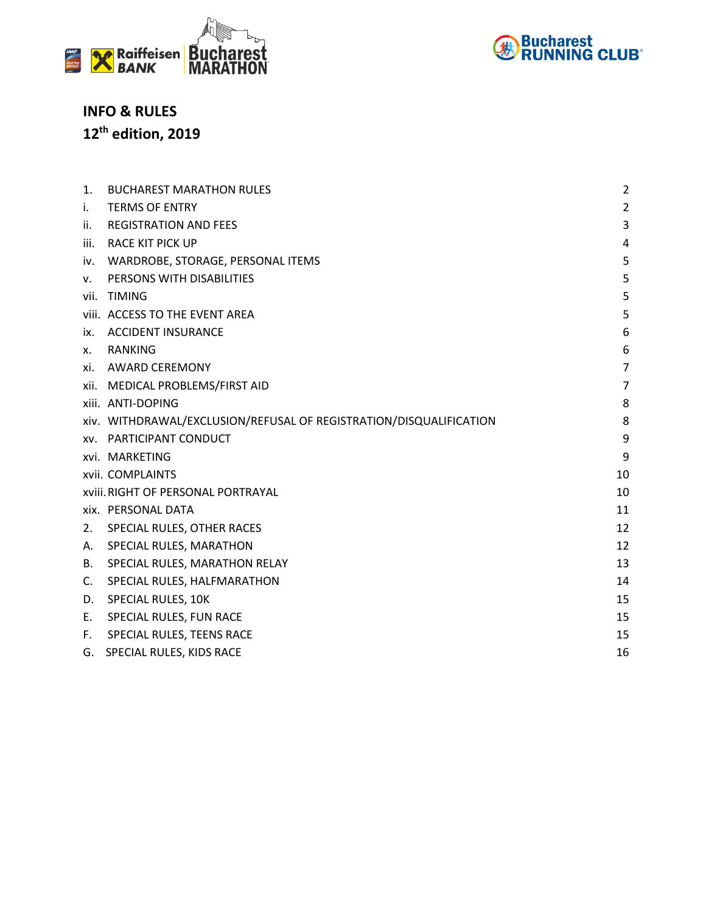



## **INFO & RULES 12th edition, 2019**

| 1.                                              | <b>BUCHAREST MARATHON RULES</b>                                    | $\overline{2}$ |  |
|-------------------------------------------------|--------------------------------------------------------------------|----------------|--|
| i.                                              | <b>TERMS OF ENTRY</b>                                              | $\overline{2}$ |  |
| ii.                                             | <b>REGISTRATION AND FEES</b>                                       | 3              |  |
| iii.                                            | RACE KIT PICK UP                                                   | 4              |  |
| iv.                                             | WARDROBE, STORAGE, PERSONAL ITEMS                                  | 5              |  |
| v.                                              | PERSONS WITH DISABILITIES                                          | 5              |  |
|                                                 | vii. TIMING                                                        | 5              |  |
|                                                 | viii. ACCESS TO THE EVENT AREA                                     | 5              |  |
| İХ.                                             | <b>ACCIDENT INSURANCE</b>                                          | 6              |  |
| х.                                              | RANKING                                                            | 6              |  |
| xi.                                             | AWARD CEREMONY                                                     | $\overline{7}$ |  |
|                                                 | xii. MEDICAL PROBLEMS/FIRST AID                                    | $\overline{7}$ |  |
|                                                 | xiii. ANTI-DOPING                                                  | 8              |  |
|                                                 | xiv. WITHDRAWAL/EXCLUSION/REFUSAL OF REGISTRATION/DISQUALIFICATION | 8              |  |
|                                                 | <b>xv. PARTICIPANT CONDUCT</b>                                     | 9              |  |
|                                                 | xvi. MARKETING                                                     | 9              |  |
|                                                 | xvii. COMPLAINTS                                                   | 10             |  |
| <b>xviii. RIGHT OF PERSONAL PORTRAYAL</b><br>10 |                                                                    |                |  |
|                                                 | xix. PERSONAL DATA                                                 | 11             |  |
| 2.                                              | SPECIAL RULES, OTHER RACES                                         | 12             |  |
| А.                                              | SPECIAL RULES, MARATHON                                            | 12             |  |
| В.                                              | SPECIAL RULES, MARATHON RELAY                                      | 13             |  |
| C.                                              | SPECIAL RULES, HALFMARATHON                                        | 14             |  |
| D.                                              | SPECIAL RULES, 10K                                                 | 15             |  |
| Е.                                              | SPECIAL RULES, FUN RACE                                            | 15             |  |
| F.                                              | SPECIAL RULES, TEENS RACE                                          | 15             |  |
| G.                                              | SPECIAL RULES, KIDS RACE                                           | 16             |  |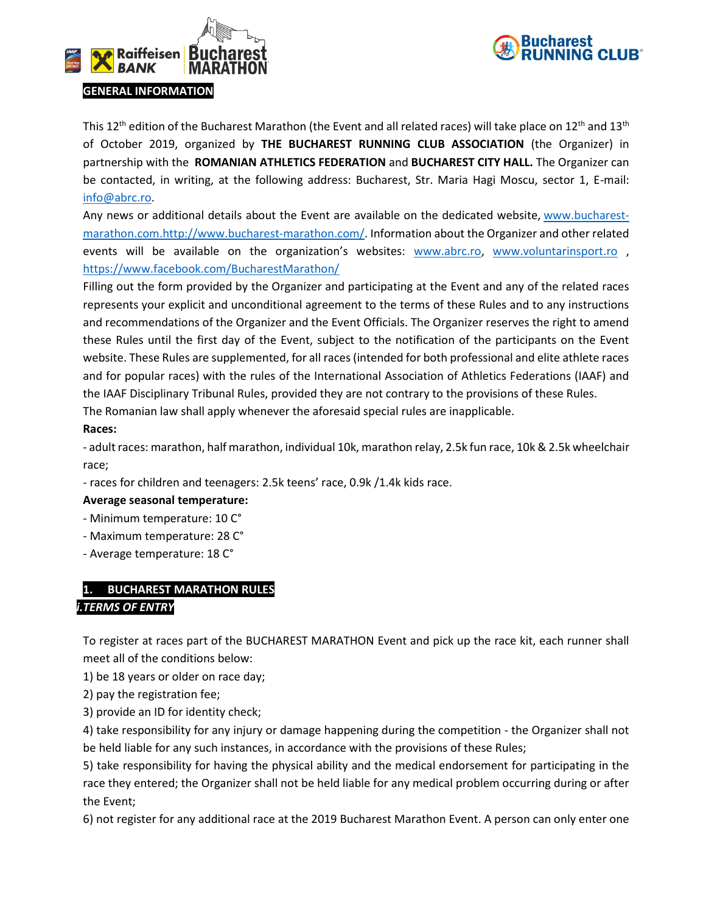



This 12<sup>th</sup> edition of the Bucharest Marathon (the Event and all related races) will take place on 12<sup>th</sup> and 13<sup>th</sup> of October 2019, organized by **THE BUCHAREST RUNNING CLUB ASSOCIATION** (the Organizer) in partnership with the **ROMANIAN ATHLETICS FEDERATION** and **BUCHAREST CITY HALL.** The Organizer can be contacted, in writing, at the following address: Bucharest, Str. Maria Hagi Moscu, sector 1, E-mail: [info@abrc.ro.](mailto:info@abrc.ro)

Any news or additional details about the Event are available on the dedicated website, [www.bucharest](http://www.bucharest-marathon.com/)[marathon.com.http://www.bucharest-marathon.com/.](http://www.bucharest-marathon.com/) Information about the Organizer and other related events will be available on the organization's websites: www.abrc.ro, www.voluntarinsport.ro , <https://www.facebook.com/BucharestMarathon/>

Filling out the form provided by the Organizer and participating at the Event and any of the related races represents your explicit and unconditional agreement to the terms of these Rules and to any instructions and recommendations of the Organizer and the Event Officials. The Organizer reserves the right to amend these Rules until the first day of the Event, subject to the notification of the participants on the Event website. These Rules are supplemented, for all races (intended for both professional and elite athlete races and for popular races) with the rules of the International Association of Athletics Federations (IAAF) and the IAAF Disciplinary Tribunal Rules, provided they are not contrary to the provisions of these Rules.

The Romanian law shall apply whenever the aforesaid special rules are inapplicable.

## **Races:**

- adult races: marathon, half marathon, individual 10k, marathon relay, 2.5k fun race, 10k & 2.5k wheelchair race;

- races for children and teenagers: 2.5k teens' race, 0.9k /1.4k kids race.

## **Average seasonal temperature:**

- Minimum temperature: 10 C°
- Maximum temperature: 28 C°
- Average temperature: 18 C°

## <span id="page-1-0"></span>**1. BUCHAREST MARATHON RULES**

## *i.TERMS OF ENTRY*

To register at races part of the BUCHAREST MARATHON Event and pick up the race kit, each runner shall meet all of the conditions below:

1) be 18 years or older on race day;

2) pay the registration fee;

3) provide an ID for identity check;

4) take responsibility for any injury or damage happening during the competition - the Organizer shall not be held liable for any such instances, in accordance with the provisions of these Rules;

5) take responsibility for having the physical ability and the medical endorsement for participating in the race they entered; the Organizer shall not be held liable for any medical problem occurring during or after the Event;

6) not register for any additional race at the 2019 Bucharest Marathon Event. A person can only enter one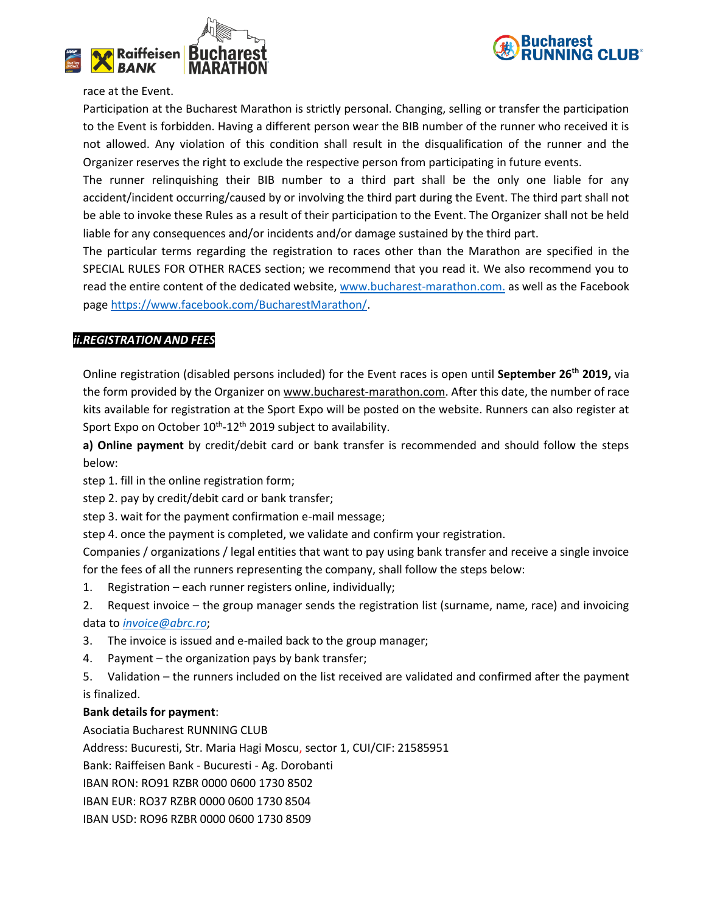



#### race at the Event.

Participation at the Bucharest Marathon is strictly personal. Changing, selling or transfer the participation to the Event is forbidden. Having a different person wear the BIB number of the runner who received it is not allowed. Any violation of this condition shall result in the disqualification of the runner and the Organizer reserves the right to exclude the respective person from participating in future events.

The runner relinquishing their BIB number to a third part shall be the only one liable for any accident/incident occurring/caused by or involving the third part during the Event. The third part shall not be able to invoke these Rules as a result of their participation to the Event. The Organizer shall not be held liable for any consequences and/or incidents and/or damage sustained by the third part.

The particular terms regarding the registration to races other than the Marathon are specified in the SPECIAL RULES FOR OTHER RACES section; we recommend that you read it. We also recommend you to read the entire content of the dedicated website, [www.bucharest-marathon.com.](http://www.bucharest-marathon.com/) as well as the Facebook page [https://www.facebook.com/BucharestMarathon/.](https://www.facebook.com/BucharestMarathon/)

## *ii.REGISTRATION AND FEES*

Online registration (disabled persons included) for the Event races is open until **September 26th 2019,** via the form provided by the Organizer o[n www.bucharest-marathon.com.](http://www.bucharest-marathon.com/) After this date, the number of race kits available for registration at the Sport Expo will be posted on the website. Runners can also register at Sport Expo on October 10<sup>th</sup>-12<sup>th</sup> 2019 subject to availability.

**a) Online payment** by credit/debit card or bank transfer is recommended and should follow the steps below:

step 1. fill in the online registration form;

step 2. pay by credit/debit card or bank transfer;

step 3. wait for the payment confirmation e-mail message;

step 4. once the payment is completed, we validate and confirm your registration.

Companies / organizations / legal entities that want to pay using bank transfer and receive a single invoice for the fees of all the runners representing the company, shall follow the steps below:

- 1. Registration each runner registers online, individually;
- 2. Request invoice the group manager sends the registration list (surname, name, race) and invoicing data to *[invoice@abrc.ro](mailto:invoice@abrc.ro)*;
- 3. The invoice is issued and e-mailed back to the group manager;
- 4. Payment the organization pays by bank transfer;
- 5. Validation the runners included on the list received are validated and confirmed after the payment is finalized.

## **Bank details for payment**:

Asociatia Bucharest RUNNING CLUB

Address: Bucuresti, Str. Maria Hagi Moscu, sector 1, CUI/CIF: 21585951

Bank: Raiffeisen Bank - Bucuresti - Ag. Dorobanti

IBAN RON: RO91 RZBR 0000 0600 1730 8502

IBAN EUR: RO37 RZBR 0000 0600 1730 8504

IBAN USD: RO96 RZBR 0000 0600 1730 8509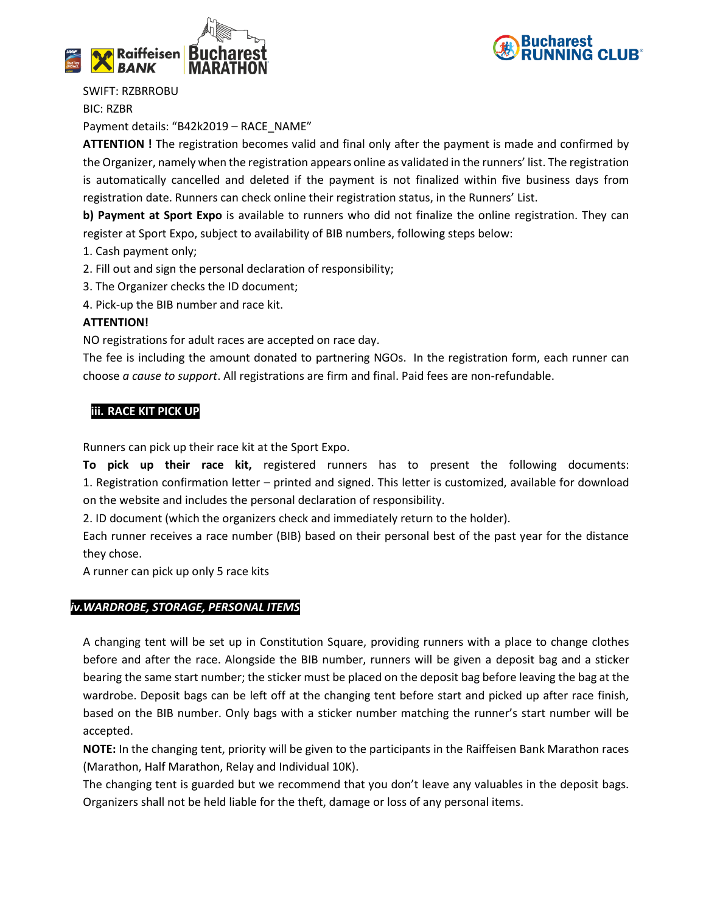



SWIFT: RZBRROBU

BIC: RZBR

Payment details: "B42k2019 – RACE\_NAME"

**ATTENTION !** The registration becomes valid and final only after the payment is made and confirmed by the Organizer, namely when the registration appears online as validated in the runners' list. The registration is automatically cancelled and deleted if the payment is not finalized within five business days from registration date. Runners can check online their registration status, in the Runners' List.

**b) Payment at Sport Expo** is available to runners who did not finalize the online registration. They can register at Sport Expo, subject to availability of BIB numbers, following steps below:

- 1. Cash payment only;
- 2. Fill out and sign the personal declaration of responsibility;
- 3. The Organizer checks the ID document;
- 4. Pick-up the BIB number and race kit.

## **ATTENTION!**

NO registrations for adult races are accepted on race day.

The fee is including the amount donated to partnering NGOs. In the registration form, each runner can choose *a cause to support*. All registrations are firm and final. Paid fees are non-refundable.

## **iii. RACE KIT PICK UP**

Runners can pick up their race kit at the Sport Expo.

**To pick up their race kit,** registered runners has to present the following documents: 1. Registration confirmation letter – printed and signed. This letter is customized, available for download on the website and includes the personal declaration of responsibility.

2. ID document (which the organizers check and immediately return to the holder).

Each runner receives a race number (BIB) based on their personal best of the past year for the distance they chose.

A runner can pick up only 5 race kits

## *iv.WARDROBE, STORAGE, PERSONAL ITEMS*

A changing tent will be set up in Constitution Square, providing runners with a place to change clothes before and after the race. Alongside the BIB number, runners will be given a deposit bag and a sticker bearing the same start number; the sticker must be placed on the deposit bag before leaving the bag at the wardrobe. Deposit bags can be left off at the changing tent before start and picked up after race finish, based on the BIB number. Only bags with a sticker number matching the runner's start number will be accepted.

**NOTE:** In the changing tent, priority will be given to the participants in the Raiffeisen Bank Marathon races (Marathon, Half Marathon, Relay and Individual 10K).

The changing tent is guarded but we recommend that you don't leave any valuables in the deposit bags. Organizers shall not be held liable for the theft, damage or loss of any personal items.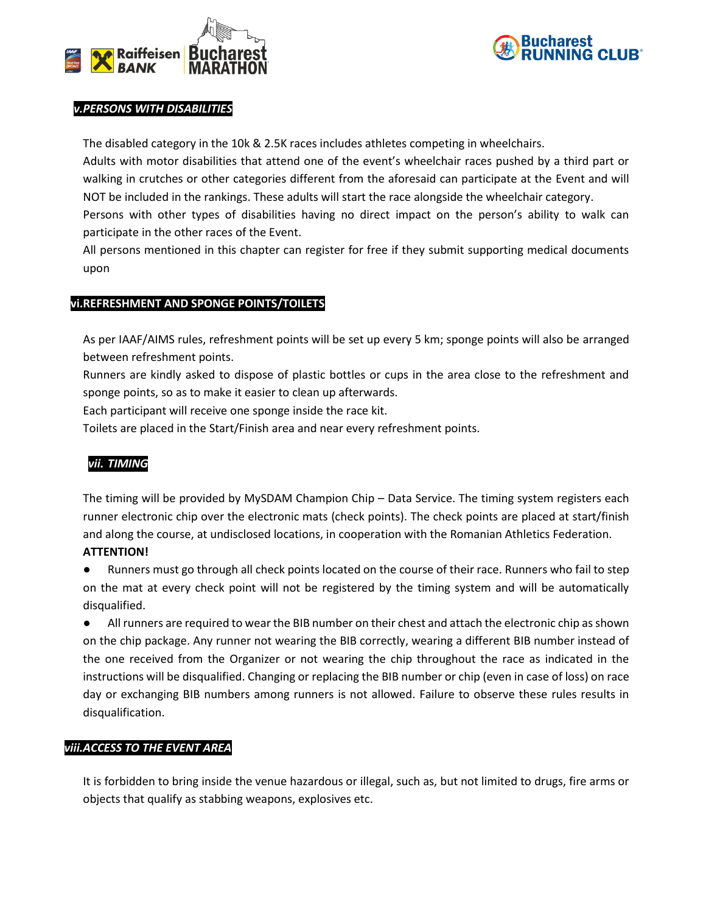



## *v.PERSONS WITH DISABILITIES*

The disabled category in the 10k & 2.5K races includes athletes competing in wheelchairs.

Adults with motor disabilities that attend one of the event's wheelchair races pushed by a third part or walking in crutches or other categories different from the aforesaid can participate at the Event and will NOT be included in the rankings. These adults will start the race alongside the wheelchair category.

Persons with other types of disabilities having no direct impact on the person's ability to walk can participate in the other races of the Event.

All persons mentioned in this chapter can register for free if they submit supporting medical documents upon

## **vi.REFRESHMENT AND SPONGE POINTS/TOILETS**

As per IAAF/AIMS rules, refreshment points will be set up every 5 km; sponge points will also be arranged between refreshment points.

Runners are kindly asked to dispose of plastic bottles or cups in the area close to the refreshment and sponge points, so as to make it easier to clean up afterwards.

Each participant will receive one sponge inside the race kit.

Toilets are placed in the Start/Finish area and near every refreshment points.

## *vii. TIMING*

The timing will be provided by MySDAM Champion Chip – Data Service. The timing system registers each runner electronic chip over the electronic mats (check points). The check points are placed at start/finish and along the course, at undisclosed locations, in cooperation with the Romanian Athletics Federation. **ATTENTION!**

● Runners must go through all check points located on the course of their race. Runners who fail to step on the mat at every check point will not be registered by the timing system and will be automatically disqualified.

● All runners are required to wear the BIB number on their chest and attach the electronic chip as shown on the chip package. Any runner not wearing the BIB correctly, wearing a different BIB number instead of the one received from the Organizer or not wearing the chip throughout the race as indicated in the instructions will be disqualified. Changing or replacing the BIB number or chip (even in case of loss) on race day or exchanging BIB numbers among runners is not allowed. Failure to observe these rules results in disqualification.

## *viii.ACCESS TO THE EVENT AREA*

It is forbidden to bring inside the venue hazardous or illegal, such as, but not limited to drugs, fire arms or objects that qualify as stabbing weapons, explosives etc.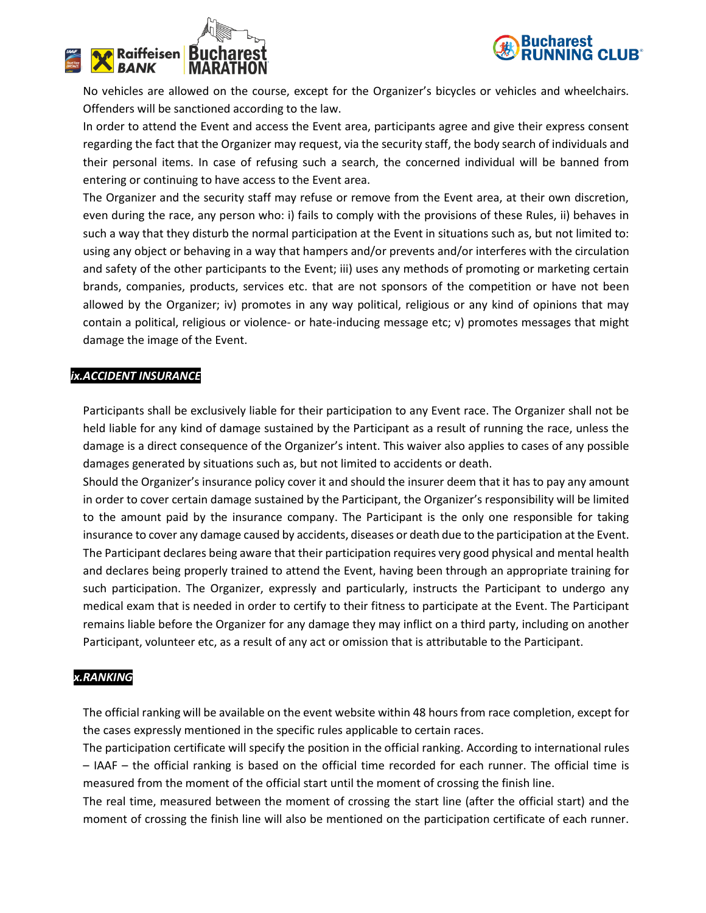



No vehicles are allowed on the course, except for the Organizer's bicycles or vehicles and wheelchairs. Offenders will be sanctioned according to the law.

In order to attend the Event and access the Event area, participants agree and give their express consent regarding the fact that the Organizer may request, via the security staff, the body search of individuals and their personal items. In case of refusing such a search, the concerned individual will be banned from entering or continuing to have access to the Event area.

The Organizer and the security staff may refuse or remove from the Event area, at their own discretion, even during the race, any person who: i) fails to comply with the provisions of these Rules, ii) behaves in such a way that they disturb the normal participation at the Event in situations such as, but not limited to: using any object or behaving in a way that hampers and/or prevents and/or interferes with the circulation and safety of the other participants to the Event; iii) uses any methods of promoting or marketing certain brands, companies, products, services etc. that are not sponsors of the competition or have not been allowed by the Organizer; iv) promotes in any way political, religious or any kind of opinions that may contain a political, religious or violence- or hate-inducing message etc; v) promotes messages that might damage the image of the Event.

## *ix.ACCIDENT INSURANCE*

Participants shall be exclusively liable for their participation to any Event race. The Organizer shall not be held liable for any kind of damage sustained by the Participant as a result of running the race, unless the damage is a direct consequence of the Organizer's intent. This waiver also applies to cases of any possible damages generated by situations such as, but not limited to accidents or death.

Should the Organizer's insurance policy cover it and should the insurer deem that it has to pay any amount in order to cover certain damage sustained by the Participant, the Organizer's responsibility will be limited to the amount paid by the insurance company. The Participant is the only one responsible for taking insurance to cover any damage caused by accidents, diseases or death due to the participation at the Event. The Participant declares being aware that their participation requires very good physical and mental health and declares being properly trained to attend the Event, having been through an appropriate training for such participation. The Organizer, expressly and particularly, instructs the Participant to undergo any medical exam that is needed in order to certify to their fitness to participate at the Event. The Participant remains liable before the Organizer for any damage they may inflict on a third party, including on another Participant, volunteer etc, as a result of any act or omission that is attributable to the Participant.

## *x.RANKING*

The official ranking will be available on the event website within 48 hours from race completion, except for the cases expressly mentioned in the specific rules applicable to certain races.

The participation certificate will specify the position in the official ranking. According to international rules – IAAF – the official ranking is based on the official time recorded for each runner. The official time is measured from the moment of the official start until the moment of crossing the finish line.

The real time, measured between the moment of crossing the start line (after the official start) and the moment of crossing the finish line will also be mentioned on the participation certificate of each runner.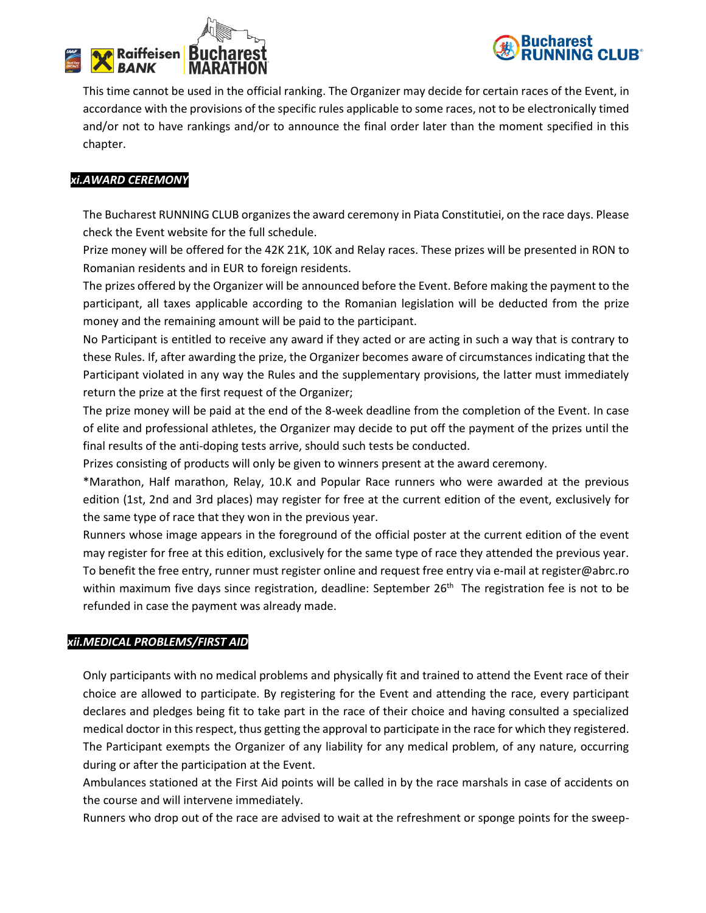



This time cannot be used in the official ranking. The Organizer may decide for certain races of the Event, in accordance with the provisions of the specific rules applicable to some races, not to be electronically timed and/or not to have rankings and/or to announce the final order later than the moment specified in this chapter.

## *xi.AWARD CEREMONY*

The Bucharest RUNNING CLUB organizes the award ceremony in Piata Constitutiei, on the race days. Please check the Event website for the full schedule.

Prize money will be offered for the 42K 21K, 10K and Relay races. These prizes will be presented in RON to Romanian residents and in EUR to foreign residents.

The prizes offered by the Organizer will be announced before the Event. Before making the payment to the participant, all taxes applicable according to the Romanian legislation will be deducted from the prize money and the remaining amount will be paid to the participant.

No Participant is entitled to receive any award if they acted or are acting in such a way that is contrary to these Rules. If, after awarding the prize, the Organizer becomes aware of circumstances indicating that the Participant violated in any way the Rules and the supplementary provisions, the latter must immediately return the prize at the first request of the Organizer;

The prize money will be paid at the end of the 8-week deadline from the completion of the Event. In case of elite and professional athletes, the Organizer may decide to put off the payment of the prizes until the final results of the anti-doping tests arrive, should such tests be conducted.

Prizes consisting of products will only be given to winners present at the award ceremony.

\*Marathon, Half marathon, Relay, 10.K and Popular Race runners who were awarded at the previous edition (1st, 2nd and 3rd places) may register for free at the current edition of the event, exclusively for the same type of race that they won in the previous year.

Runners whose image appears in the foreground of the official poster at the current edition of the event may register for free at this edition, exclusively for the same type of race they attended the previous year. To benefit the free entry, runner must register online and request free entry via e-mail at register@abrc.ro within maximum five days since registration, deadline: September 26<sup>th</sup> The registration fee is not to be refunded in case the payment was already made.

## *xii.MEDICAL PROBLEMS/FIRST AID*

Only participants with no medical problems and physically fit and trained to attend the Event race of their choice are allowed to participate. By registering for the Event and attending the race, every participant declares and pledges being fit to take part in the race of their choice and having consulted a specialized medical doctor in this respect, thus getting the approval to participate in the race for which they registered. The Participant exempts the Organizer of any liability for any medical problem, of any nature, occurring during or after the participation at the Event.

Ambulances stationed at the First Aid points will be called in by the race marshals in case of accidents on the course and will intervene immediately.

Runners who drop out of the race are advised to wait at the refreshment or sponge points for the sweep-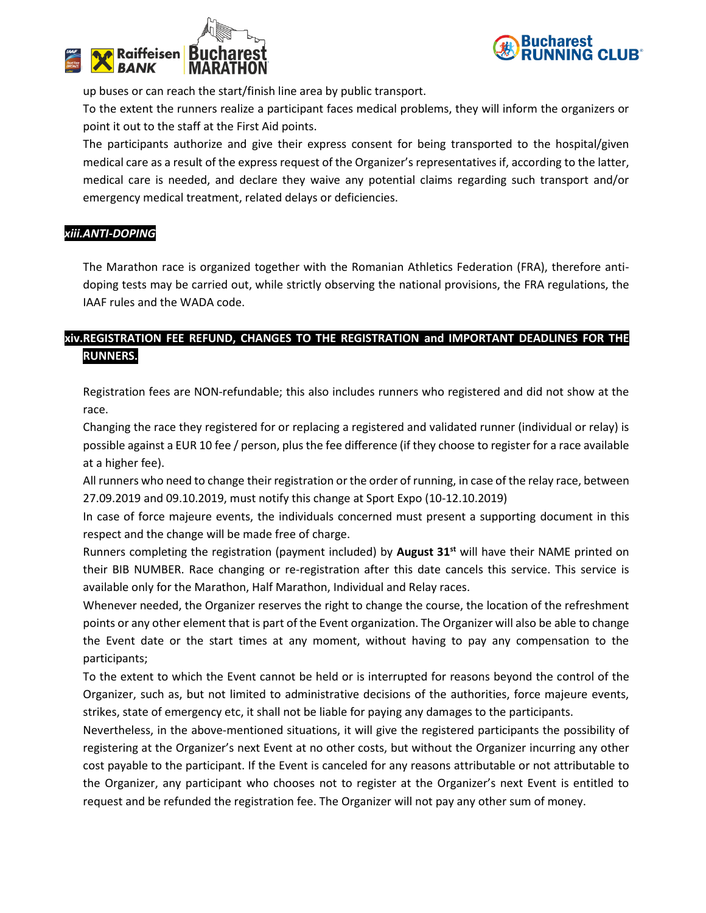



up buses or can reach the start/finish line area by public transport.

To the extent the runners realize a participant faces medical problems, they will inform the organizers or point it out to the staff at the First Aid points.

The participants authorize and give their express consent for being transported to the hospital/given medical care as a result of the express request of the Organizer's representatives if, according to the latter, medical care is needed, and declare they waive any potential claims regarding such transport and/or emergency medical treatment, related delays or deficiencies.

## *xiii.ANTI-DOPING*

The Marathon race is organized together with the Romanian Athletics Federation (FRA), therefore antidoping tests may be carried out, while strictly observing the national provisions, the FRA regulations, the IAAF rules and the WADA code.

## **xiv.REGISTRATION FEE REFUND, CHANGES TO THE REGISTRATION and IMPORTANT DEADLINES FOR THE RUNNERS.**

Registration fees are NON-refundable; this also includes runners who registered and did not show at the race.

Changing the race they registered for or replacing a registered and validated runner (individual or relay) is possible against a EUR 10 fee / person, plus the fee difference (if they choose to register for a race available at a higher fee).

All runners who need to change their registration or the order of running, in case of the relay race, between 27.09.2019 and 09.10.2019, must notify this change at Sport Expo (10-12.10.2019)

In case of force majeure events, the individuals concerned must present a supporting document in this respect and the change will be made free of charge.

Runners completing the registration (payment included) by **August 31st** will have their NAME printed on their BIB NUMBER. Race changing or re-registration after this date cancels this service. This service is available only for the Marathon, Half Marathon, Individual and Relay races.

Whenever needed, the Organizer reserves the right to change the course, the location of the refreshment points or any other element that is part of the Event organization. The Organizer will also be able to change the Event date or the start times at any moment, without having to pay any compensation to the participants;

To the extent to which the Event cannot be held or is interrupted for reasons beyond the control of the Organizer, such as, but not limited to administrative decisions of the authorities, force majeure events, strikes, state of emergency etc, it shall not be liable for paying any damages to the participants.

Nevertheless, in the above-mentioned situations, it will give the registered participants the possibility of registering at the Organizer's next Event at no other costs, but without the Organizer incurring any other cost payable to the participant. If the Event is canceled for any reasons attributable or not attributable to the Organizer, any participant who chooses not to register at the Organizer's next Event is entitled to request and be refunded the registration fee. The Organizer will not pay any other sum of money.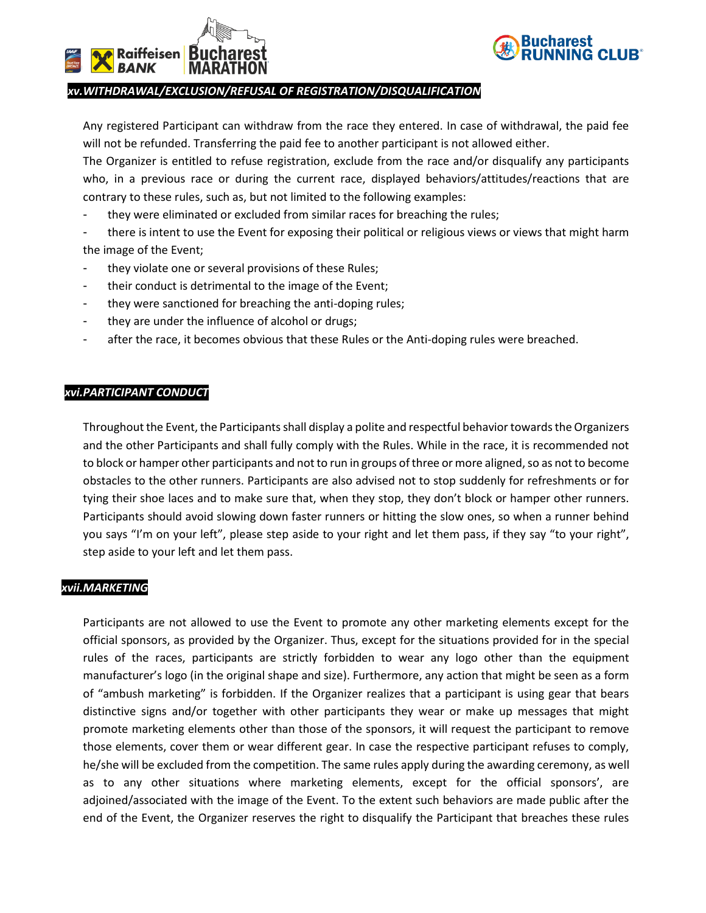



#### *xv.WITHDRAWAL/EXCLUSION/REFUSAL OF REGISTRATION/DISQUALIFICATION*

Any registered Participant can withdraw from the race they entered. In case of withdrawal, the paid fee will not be refunded. Transferring the paid fee to another participant is not allowed either.

The Organizer is entitled to refuse registration, exclude from the race and/or disqualify any participants who, in a previous race or during the current race, displayed behaviors/attitudes/reactions that are contrary to these rules, such as, but not limited to the following examples:

they were eliminated or excluded from similar races for breaching the rules;

there is intent to use the Event for exposing their political or religious views or views that might harm the image of the Event;

- they violate one or several provisions of these Rules;
- their conduct is detrimental to the image of the Event;
- they were sanctioned for breaching the anti-doping rules;
- they are under the influence of alcohol or drugs;
- after the race, it becomes obvious that these Rules or the Anti-doping rules were breached.

#### *xvi.PARTICIPANT CONDUCT*

Throughout the Event, the Participants shall display a polite and respectful behavior towards the Organizers and the other Participants and shall fully comply with the Rules. While in the race, it is recommended not to block or hamper other participants and not to run in groups of three or more aligned, so as not to become obstacles to the other runners. Participants are also advised not to stop suddenly for refreshments or for tying their shoe laces and to make sure that, when they stop, they don't block or hamper other runners. Participants should avoid slowing down faster runners or hitting the slow ones, so when a runner behind you says "I'm on your left", please step aside to your right and let them pass, if they say "to your right", step aside to your left and let them pass.

#### *xvii.MARKETING*

Participants are not allowed to use the Event to promote any other marketing elements except for the official sponsors, as provided by the Organizer. Thus, except for the situations provided for in the special rules of the races, participants are strictly forbidden to wear any logo other than the equipment manufacturer's logo (in the original shape and size). Furthermore, any action that might be seen as a form of "ambush marketing" is forbidden. If the Organizer realizes that a participant is using gear that bears distinctive signs and/or together with other participants they wear or make up messages that might promote marketing elements other than those of the sponsors, it will request the participant to remove those elements, cover them or wear different gear. In case the respective participant refuses to comply, he/she will be excluded from the competition. The same rules apply during the awarding ceremony, as well as to any other situations where marketing elements, except for the official sponsors', are adjoined/associated with the image of the Event. To the extent such behaviors are made public after the end of the Event, the Organizer reserves the right to disqualify the Participant that breaches these rules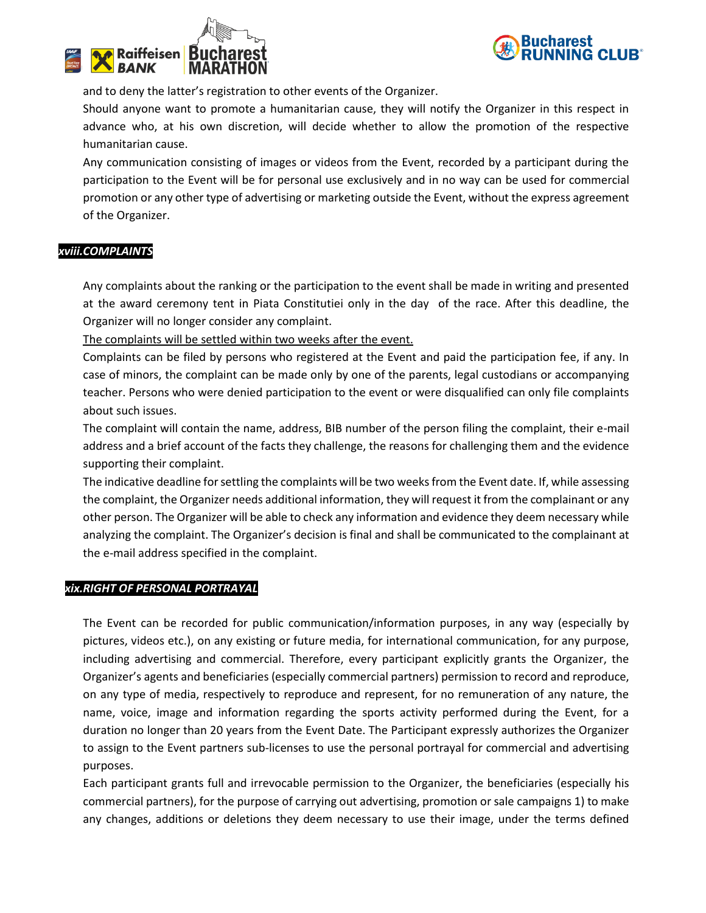



and to deny the latter's registration to other events of the Organizer.

Should anyone want to promote a humanitarian cause, they will notify the Organizer in this respect in advance who, at his own discretion, will decide whether to allow the promotion of the respective humanitarian cause.

Any communication consisting of images or videos from the Event, recorded by a participant during the participation to the Event will be for personal use exclusively and in no way can be used for commercial promotion or any other type of advertising or marketing outside the Event, without the express agreement of the Organizer.

## *xviii.COMPLAINTS*

Any complaints about the ranking or the participation to the event shall be made in writing and presented at the award ceremony tent in Piata Constitutiei only in the day of the race. After this deadline, the Organizer will no longer consider any complaint.

The complaints will be settled within two weeks after the event.

Complaints can be filed by persons who registered at the Event and paid the participation fee, if any. In case of minors, the complaint can be made only by one of the parents, legal custodians or accompanying teacher. Persons who were denied participation to the event or were disqualified can only file complaints about such issues.

The complaint will contain the name, address, BIB number of the person filing the complaint, their e-mail address and a brief account of the facts they challenge, the reasons for challenging them and the evidence supporting their complaint.

The indicative deadline for settling the complaints will be two weeks from the Event date. If, while assessing the complaint, the Organizer needs additional information, they will request it from the complainant or any other person. The Organizer will be able to check any information and evidence they deem necessary while analyzing the complaint. The Organizer's decision is final and shall be communicated to the complainant at the e-mail address specified in the complaint.

#### *xix.RIGHT OF PERSONAL PORTRAYAL*

The Event can be recorded for public communication/information purposes, in any way (especially by pictures, videos etc.), on any existing or future media, for international communication, for any purpose, including advertising and commercial. Therefore, every participant explicitly grants the Organizer, the Organizer's agents and beneficiaries (especially commercial partners) permission to record and reproduce, on any type of media, respectively to reproduce and represent, for no remuneration of any nature, the name, voice, image and information regarding the sports activity performed during the Event, for a duration no longer than 20 years from the Event Date. The Participant expressly authorizes the Organizer to assign to the Event partners sub-licenses to use the personal portrayal for commercial and advertising purposes.

Each participant grants full and irrevocable permission to the Organizer, the beneficiaries (especially his commercial partners), for the purpose of carrying out advertising, promotion or sale campaigns 1) to make any changes, additions or deletions they deem necessary to use their image, under the terms defined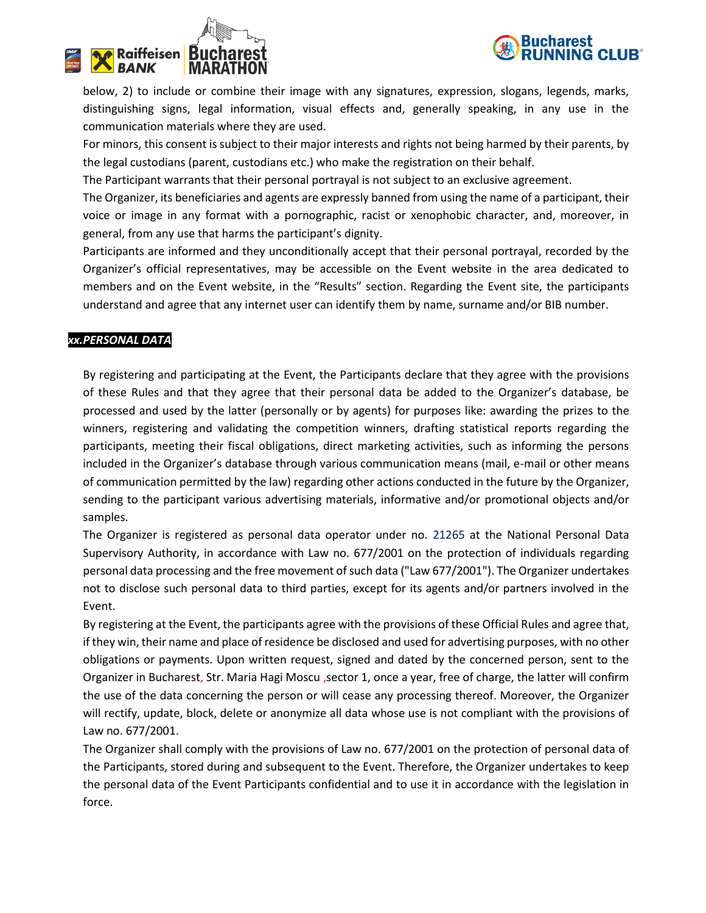

# <mark>∌</mark> Raiffeisen ∣ B⊔C **BANK**

below, 2) to include or combine their image with any signatures, expression, slogans, legends, marks, distinguishing signs, legal information, visual effects and, generally speaking, in any use in the communication materials where they are used.

For minors, this consent is subject to their major interests and rights not being harmed by their parents, by the legal custodians (parent, custodians etc.) who make the registration on their behalf.

The Participant warrants that their personal portrayal is not subject to an exclusive agreement.

The Organizer, its beneficiaries and agents are expressly banned from using the name of a participant, their voice or image in any format with a pornographic, racist or xenophobic character, and, moreover, in general, from any use that harms the participant's dignity.

Participants are informed and they unconditionally accept that their personal portrayal, recorded by the Organizer's official representatives, may be accessible on the Event website in the area dedicated to members and on the Event website, in the "Results" section. Regarding the Event site, the participants understand and agree that any internet user can identify them by name, surname and/or BIB number.

## *xx.PERSONAL DATA*

By registering and participating at the Event, the Participants declare that they agree with the provisions of these Rules and that they agree that their personal data be added to the Organizer's database, be processed and used by the latter (personally or by agents) for purposes like: awarding the prizes to the winners, registering and validating the competition winners, drafting statistical reports regarding the participants, meeting their fiscal obligations, direct marketing activities, such as informing the persons included in the Organizer's database through various communication means (mail, e-mail or other means of communication permitted by the law) regarding other actions conducted in the future by the Organizer, sending to the participant various advertising materials, informative and/or promotional objects and/or samples.

The Organizer is registered as personal data operator under no. 21265 at the National Personal Data Supervisory Authority, in accordance with Law no. 677/2001 on the protection of individuals regarding personal data processing and the free movement of such data ("Law 677/2001"). The Organizer undertakes not to disclose such personal data to third parties, except for its agents and/or partners involved in the Event.

By registering at the Event, the participants agree with the provisions of these Official Rules and agree that, if they win, their name and place of residence be disclosed and used for advertising purposes, with no other obligations or payments. Upon written request, signed and dated by the concerned person, sent to the Organizer in Bucharest, Str. Maria Hagi Moscu ,sector 1, once a year, free of charge, the latter will confirm the use of the data concerning the person or will cease any processing thereof. Moreover, the Organizer will rectify, update, block, delete or anonymize all data whose use is not compliant with the provisions of Law no. 677/2001.

The Organizer shall comply with the provisions of Law no. 677/2001 on the protection of personal data of the Participants, stored during and subsequent to the Event. Therefore, the Organizer undertakes to keep the personal data of the Event Participants confidential and to use it in accordance with the legislation in force.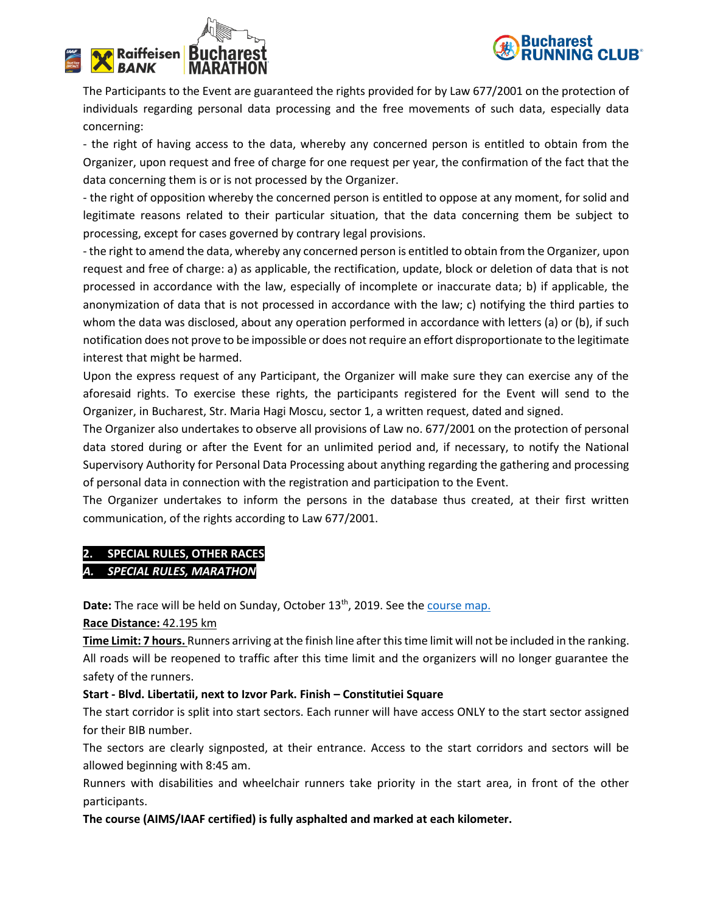



The Participants to the Event are guaranteed the rights provided for by Law 677/2001 on the protection of individuals regarding personal data processing and the free movements of such data, especially data concerning:

- the right of having access to the data, whereby any concerned person is entitled to obtain from the Organizer, upon request and free of charge for one request per year, the confirmation of the fact that the data concerning them is or is not processed by the Organizer.

- the right of opposition whereby the concerned person is entitled to oppose at any moment, for solid and legitimate reasons related to their particular situation, that the data concerning them be subject to processing, except for cases governed by contrary legal provisions.

- the right to amend the data, whereby any concerned person is entitled to obtain from the Organizer, upon request and free of charge: a) as applicable, the rectification, update, block or deletion of data that is not processed in accordance with the law, especially of incomplete or inaccurate data; b) if applicable, the anonymization of data that is not processed in accordance with the law; c) notifying the third parties to whom the data was disclosed, about any operation performed in accordance with letters (a) or (b), if such notification does not prove to be impossible or does not require an effort disproportionate to the legitimate interest that might be harmed.

Upon the express request of any Participant, the Organizer will make sure they can exercise any of the aforesaid rights. To exercise these rights, the participants registered for the Event will send to the Organizer, in Bucharest, Str. Maria Hagi Moscu, sector 1, a written request, dated and signed.

The Organizer also undertakes to observe all provisions of Law no. 677/2001 on the protection of personal data stored during or after the Event for an unlimited period and, if necessary, to notify the National Supervisory Authority for Personal Data Processing about anything regarding the gathering and processing of personal data in connection with the registration and participation to the Event.

The Organizer undertakes to inform the persons in the database thus created, at their first written communication, of the rights according to Law 677/2001.

## **2. SPECIAL RULES, OTHER RACES** *A. SPECIAL RULES, MARATHON*

Date: The race will be held on Sunday, October 13<sup>th</sup>, 2019. See th[e course map.](http://bucharest-marathon.com/traseu/)

**Race Distance:** 42.195 km

**Time Limit: 7 hours.** Runners arriving at the finish line after this time limit will not be included in the ranking. All roads will be reopened to traffic after this time limit and the organizers will no longer guarantee the safety of the runners.

## **Start - Blvd. Libertatii, next to Izvor Park. Finish – Constitutiei Square**

The start corridor is split into start sectors. Each runner will have access ONLY to the start sector assigned for their BIB number.

The sectors are clearly signposted, at their entrance. Access to the start corridors and sectors will be allowed beginning with 8:45 am.

Runners with disabilities and wheelchair runners take priority in the start area, in front of the other participants.

**The course (AIMS/IAAF certified) is fully asphalted and marked at each kilometer.**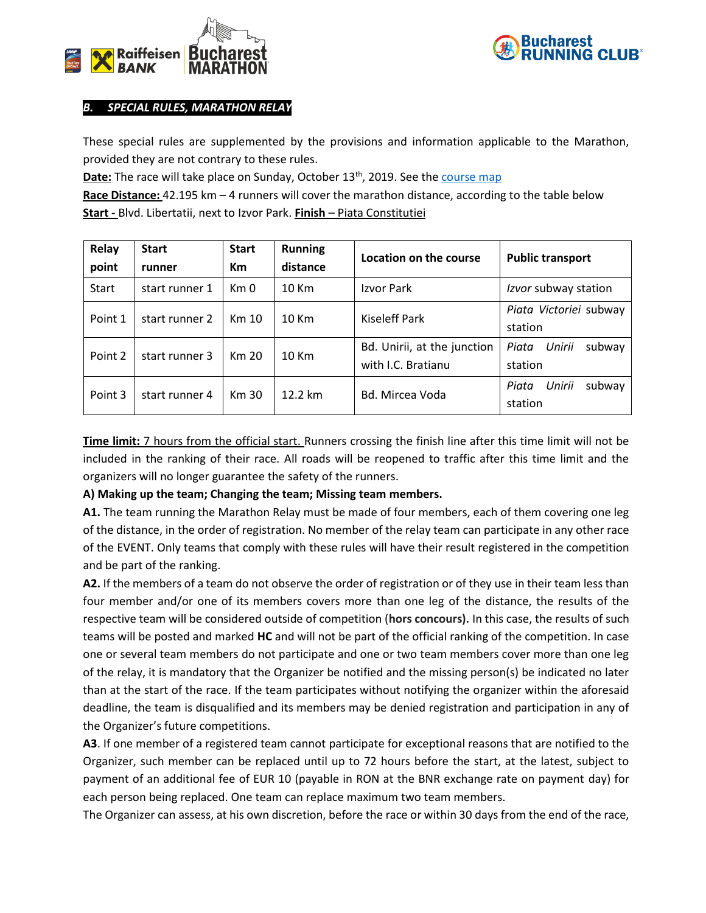



## *B. SPECIAL RULES, MARATHON RELAY*

These special rules are supplemented by the provisions and information applicable to the Marathon, provided they are not contrary to these rules.

**Date:** The race will take place on Sunday, October 13<sup>th</sup>, 2019. See the [course map](http://bucharest-marathon.com/traseu/)

**Race Distance:** 42.195 km – 4 runners will cover the marathon distance, according to the table below **Start -** Blvd. Libertatii, next to Izvor Park. **Finish** – Piata Constitutiei

| Relay<br>point | <b>Start</b><br>runner | <b>Start</b><br><b>Km</b> | <b>Running</b><br>distance | Location on the course                            | <b>Public transport</b>              |
|----------------|------------------------|---------------------------|----------------------------|---------------------------------------------------|--------------------------------------|
| Start          | start runner 1         | Km 0                      | 10 Km                      | Izvor Park                                        | Izvor subway station                 |
| Point 1        | start runner 2         | Km 10                     | 10 Km                      | Kiseleff Park                                     | Piata Victoriei subway<br>station    |
| Point 2        | start runner 3         | Km 20                     | 10 Km                      | Bd. Unirii, at the junction<br>with I.C. Bratianu | Unirii<br>Piata<br>subway<br>station |
| Point 3        | start runner 4         | Km 30                     | 12.2 km                    | <b>Bd. Mircea Voda</b>                            | Unirii<br>subway<br>Piata<br>station |

**Time limit:** 7 hours from the official start. Runners crossing the finish line after this time limit will not be included in the ranking of their race. All roads will be reopened to traffic after this time limit and the organizers will no longer guarantee the safety of the runners.

## **A) Making up the team; Changing the team; Missing team members.**

**A1.** The team running the Marathon Relay must be made of four members, each of them covering one leg of the distance, in the order of registration. No member of the relay team can participate in any other race of the EVENT. Only teams that comply with these rules will have their result registered in the competition and be part of the ranking.

**A2.** If the members of a team do not observe the order of registration or of they use in their team less than four member and/or one of its members covers more than one leg of the distance, the results of the respective team will be considered outside of competition (**hors concours).** In this case, the results of such teams will be posted and marked **HC** and will not be part of the official ranking of the competition. In case one or several team members do not participate and one or two team members cover more than one leg of the relay, it is mandatory that the Organizer be notified and the missing person(s) be indicated no later than at the start of the race. If the team participates without notifying the organizer within the aforesaid deadline, the team is disqualified and its members may be denied registration and participation in any of the Organizer's future competitions.

**A3**. If one member of a registered team cannot participate for exceptional reasons that are notified to the Organizer, such member can be replaced until up to 72 hours before the start, at the latest, subject to payment of an additional fee of EUR 10 (payable in RON at the BNR exchange rate on payment day) for each person being replaced. One team can replace maximum two team members.

The Organizer can assess, at his own discretion, before the race or within 30 days from the end of the race,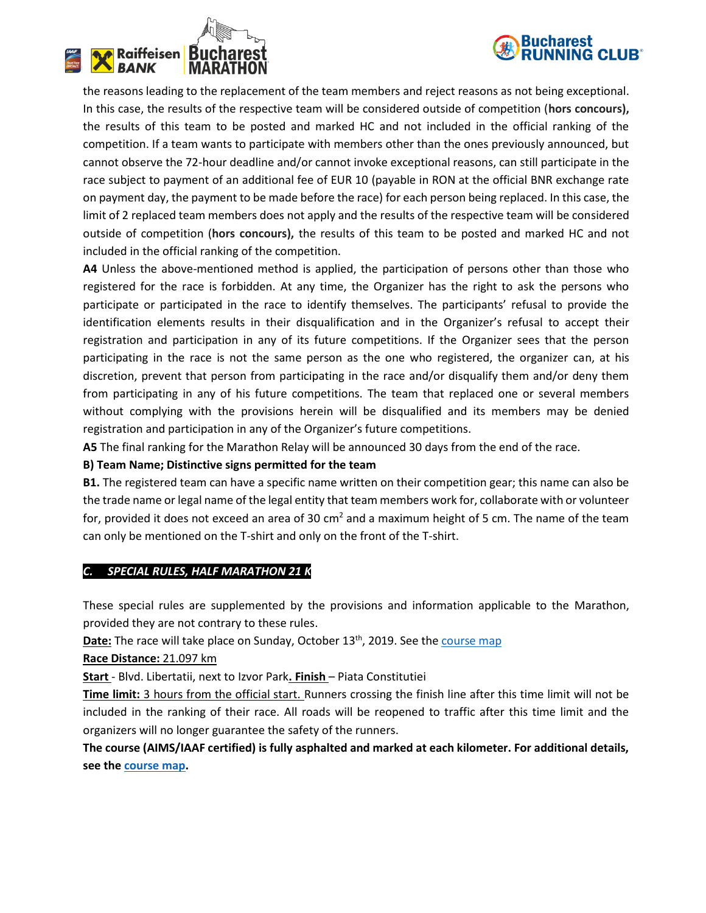



the reasons leading to the replacement of the team members and reject reasons as not being exceptional. In this case, the results of the respective team will be considered outside of competition (**hors concours),**  the results of this team to be posted and marked HC and not included in the official ranking of the competition. If a team wants to participate with members other than the ones previously announced, but cannot observe the 72-hour deadline and/or cannot invoke exceptional reasons, can still participate in the race subject to payment of an additional fee of EUR 10 (payable in RON at the official BNR exchange rate on payment day, the payment to be made before the race) for each person being replaced. In this case, the limit of 2 replaced team members does not apply and the results of the respective team will be considered outside of competition (**hors concours),** the results of this team to be posted and marked HC and not included in the official ranking of the competition.

**A4** Unless the above-mentioned method is applied, the participation of persons other than those who registered for the race is forbidden. At any time, the Organizer has the right to ask the persons who participate or participated in the race to identify themselves. The participants' refusal to provide the identification elements results in their disqualification and in the Organizer's refusal to accept their registration and participation in any of its future competitions. If the Organizer sees that the person participating in the race is not the same person as the one who registered, the organizer can, at his discretion, prevent that person from participating in the race and/or disqualify them and/or deny them from participating in any of his future competitions. The team that replaced one or several members without complying with the provisions herein will be disqualified and its members may be denied registration and participation in any of the Organizer's future competitions.

**A5** The final ranking for the Marathon Relay will be announced 30 days from the end of the race.

## **B) Team Name; Distinctive signs permitted for the team**

**B1.** The registered team can have a specific name written on their competition gear; this name can also be the trade name or legal name of the legal entity that team members work for, collaborate with or volunteer for, provided it does not exceed an area of 30 cm<sup>2</sup> and a maximum height of 5 cm. The name of the team can only be mentioned on the T-shirt and only on the front of the T-shirt.

## *C. SPECIAL RULES, HALF MARATHON 21 K*

These special rules are supplemented by the provisions and information applicable to the Marathon, provided they are not contrary to these rules.

**Date:** The race will take place on Sunday, October 13<sup>th</sup>, 2019. See the course map

**Race Distance:** 21.097 km

**Start** - Blvd. Libertatii, next to Izvor Park**. Finish** – Piata Constitutiei

**Time limit:** 3 hours from the official start. Runners crossing the finish line after this time limit will not be included in the ranking of their race. All roads will be reopened to traffic after this time limit and the organizers will no longer guarantee the safety of the runners.

**The course (AIMS/IAAF certified) is fully asphalted and marked at each kilometer. For additional details, see th[e course map.](http://www.bucharest-marathon.com/traseu)**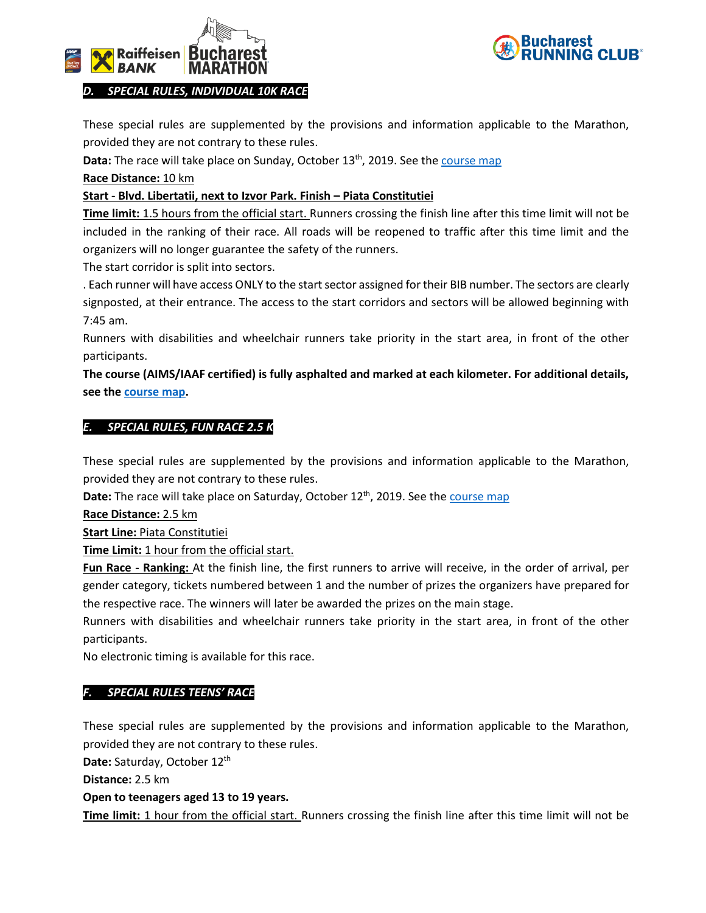



*D. SPECIAL RULES, INDIVIDUAL 10K RACE*

These special rules are supplemented by the provisions and information applicable to the Marathon, provided they are not contrary to these rules.

Data: The race will take place on Sunday, October 13<sup>th</sup>, 2019. See the **course map** 

**Race Distance:** 10 km

## **Start - Blvd. Libertatii, next to Izvor Park. Finish – Piata Constitutiei**

**Time limit:** 1.5 hours from the official start. Runners crossing the finish line after this time limit will not be included in the ranking of their race. All roads will be reopened to traffic after this time limit and the organizers will no longer guarantee the safety of the runners.

The start corridor is split into sectors.

. Each runner will have access ONLY to the start sector assigned for their BIB number. The sectors are clearly signposted, at their entrance. The access to the start corridors and sectors will be allowed beginning with 7:45 am.

Runners with disabilities and wheelchair runners take priority in the start area, in front of the other participants.

**The course (AIMS/IAAF certified) is fully asphalted and marked at each kilometer. For additional details, see th[e course map.](http://www.bucharest-marathon.com/traseu)**

## *E. SPECIAL RULES, FUN RACE 2.5 K*

These special rules are supplemented by the provisions and information applicable to the Marathon, provided they are not contrary to these rules.

Date: The race will take place on Saturday, October 12<sup>th</sup>, 2019. See the *course map* 

**Race Distance:** 2.5 km

**Start Line:** Piata Constitutiei

**Time Limit:** 1 hour from the official start.

**Fun Race - Ranking:** At the finish line, the first runners to arrive will receive, in the order of arrival, per gender category, tickets numbered between 1 and the number of prizes the organizers have prepared for the respective race. The winners will later be awarded the prizes on the main stage.

Runners with disabilities and wheelchair runners take priority in the start area, in front of the other participants.

No electronic timing is available for this race.

## *F. SPECIAL RULES TEENS' RACE*

These special rules are supplemented by the provisions and information applicable to the Marathon, provided they are not contrary to these rules.

Date: Saturday, October 12<sup>th</sup>

**Distance:** 2.5 km

**Open to teenagers aged 13 to 19 years.**

**Time limit:** 1 hour from the official start. Runners crossing the finish line after this time limit will not be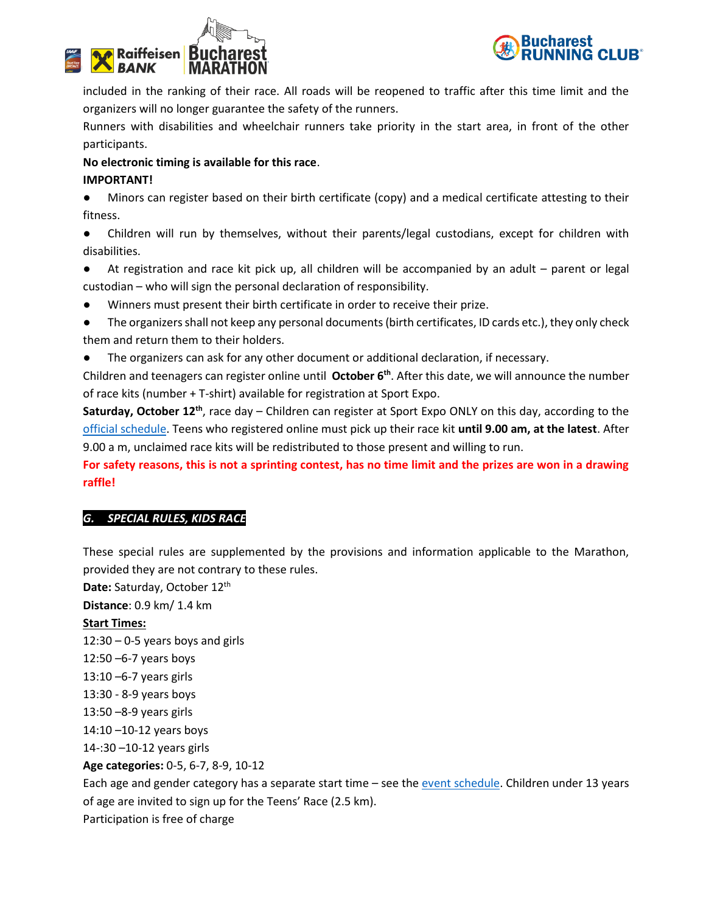



included in the ranking of their race. All roads will be reopened to traffic after this time limit and the organizers will no longer guarantee the safety of the runners.

Runners with disabilities and wheelchair runners take priority in the start area, in front of the other participants.

## **No electronic timing is available for this race**.

## **IMPORTANT!**

Minors can register based on their birth certificate (copy) and a medical certificate attesting to their fitness.

● Children will run by themselves, without their parents/legal custodians, except for children with disabilities.

● At registration and race kit pick up, all children will be accompanied by an adult – parent or legal custodian – who will sign the personal declaration of responsibility.

- Winners must present their birth certificate in order to receive their prize.
- The organizers shall not keep any personal documents (birth certificates, ID cards etc.), they only check them and return them to their holders.
- The organizers can ask for any other document or additional declaration, if necessary.

Children and teenagers can register online until **October 6 th**. After this date, we will announce the number of race kits (number + T-shirt) available for registration at Sport Expo.

**Saturday, October 12th**, race day – Children can register at Sport Expo ONLY on this day, according to the [official schedule.](http://bucharest-marathon.com/program-eveniment/) Teens who registered online must pick up their race kit **until 9.00 am, at the latest**. After 9.00 a m, unclaimed race kits will be redistributed to those present and willing to run.

**For safety reasons, this is not a sprinting contest, has no time limit and the prizes are won in a drawing raffle!**

## *G. SPECIAL RULES, KIDS RACE*

These special rules are supplemented by the provisions and information applicable to the Marathon, provided they are not contrary to these rules.

Date: Saturday, October 12<sup>th</sup>

**Distance**: 0.9 km/ 1.4 km

## **Start Times:**

12:30 – 0-5 years boys and girls 12:50 –6-7 years boys 13:10 –6-7 years girls 13:30 - 8-9 years boys 13:50 –8-9 years girls 14:10 –10-12 years boys 14-:30 –10-12 years girls **Age categories:** 0-5, 6-7, 8-9, 10-12

Each age and gender category has a separate start time – see the [event schedule.](http://bucharest-marathon.com/program-eveniment/) Children under 13 years of age are invited to sign up for the Teens' Race (2.5 km). Participation is free of charge